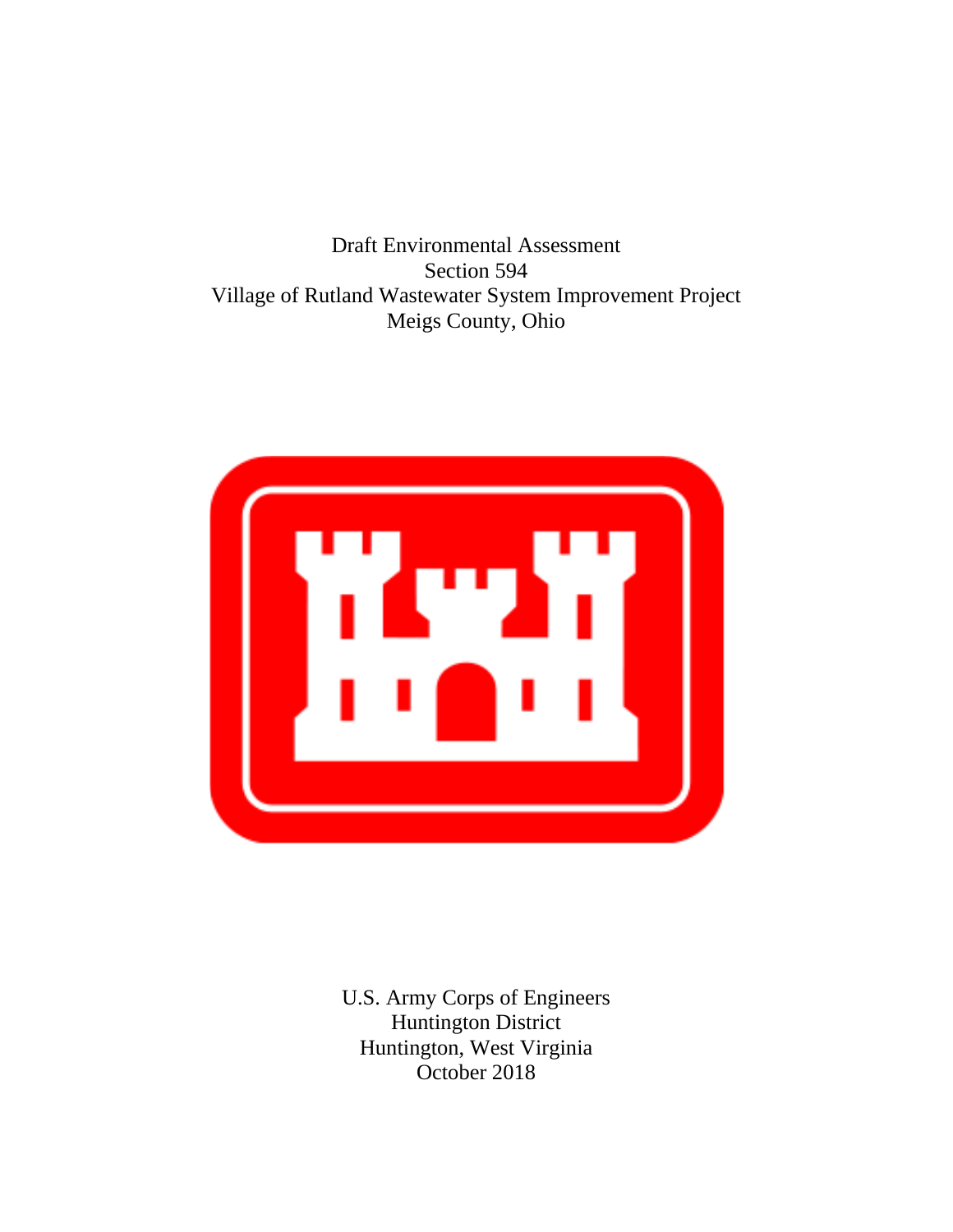Draft Environmental Assessment Section 594 Village of Rutland Wastewater System Improvement Project Meigs County, Ohio



U.S. Army Corps of Engineers Huntington District Huntington, West Virginia October 2018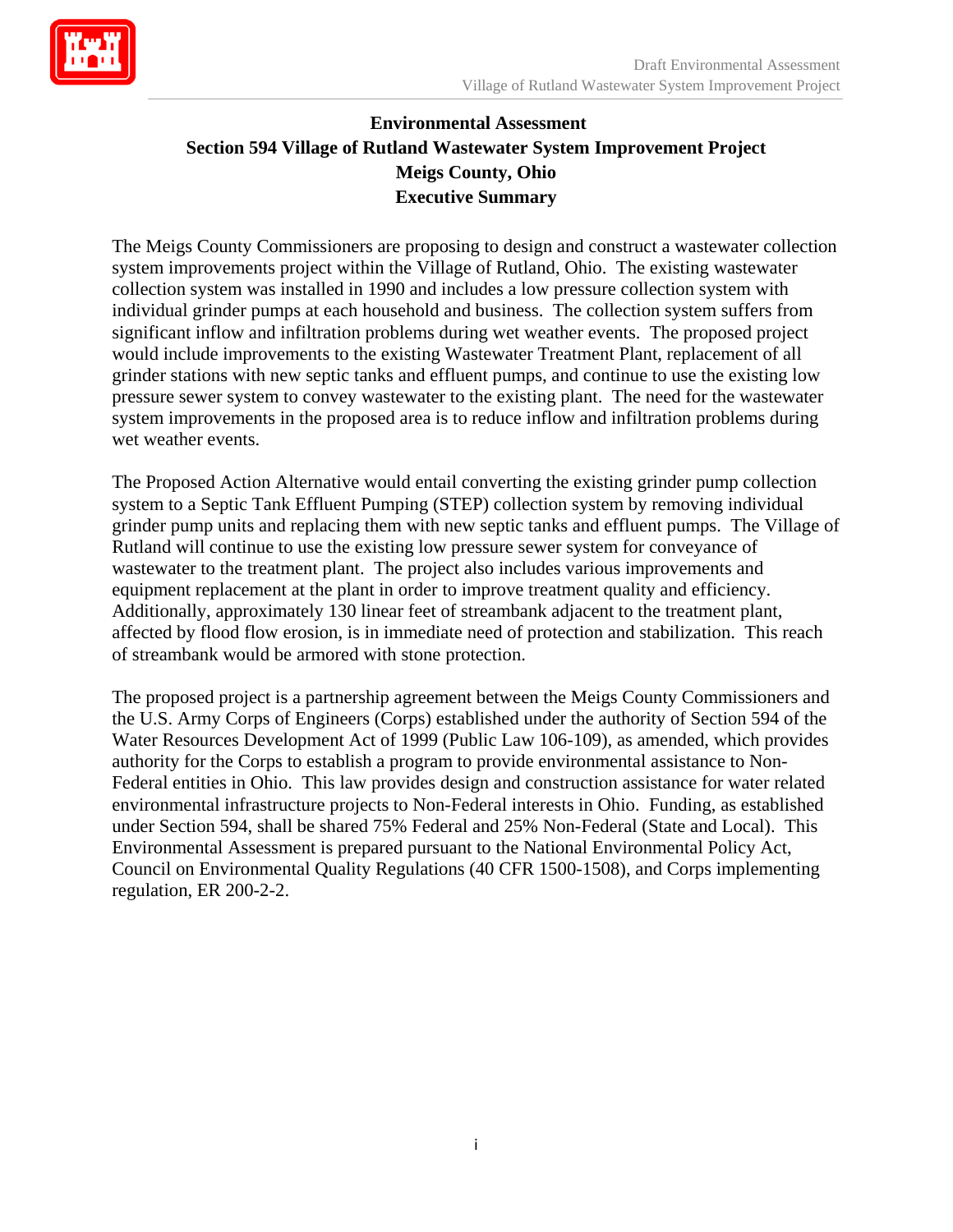

# **Environmental Assessment Section 594 Village of Rutland Wastewater System Improvement Project Meigs County, Ohio Executive Summary**

The Meigs County Commissioners are proposing to design and construct a wastewater collection system improvements project within the Village of Rutland, Ohio. The existing wastewater collection system was installed in 1990 and includes a low pressure collection system with individual grinder pumps at each household and business. The collection system suffers from significant inflow and infiltration problems during wet weather events. The proposed project would include improvements to the existing Wastewater Treatment Plant, replacement of all grinder stations with new septic tanks and effluent pumps, and continue to use the existing low pressure sewer system to convey wastewater to the existing plant. The need for the wastewater system improvements in the proposed area is to reduce inflow and infiltration problems during wet weather events.

The Proposed Action Alternative would entail converting the existing grinder pump collection system to a Septic Tank Effluent Pumping (STEP) collection system by removing individual grinder pump units and replacing them with new septic tanks and effluent pumps. The Village of Rutland will continue to use the existing low pressure sewer system for conveyance of wastewater to the treatment plant. The project also includes various improvements and equipment replacement at the plant in order to improve treatment quality and efficiency. Additionally, approximately 130 linear feet of streambank adjacent to the treatment plant, affected by flood flow erosion, is in immediate need of protection and stabilization. This reach of streambank would be armored with stone protection.

The proposed project is a partnership agreement between the Meigs County Commissioners and the U.S. Army Corps of Engineers (Corps) established under the authority of Section 594 of the Water Resources Development Act of 1999 (Public Law 106-109), as amended, which provides authority for the Corps to establish a program to provide environmental assistance to Non-Federal entities in Ohio. This law provides design and construction assistance for water related environmental infrastructure projects to Non-Federal interests in Ohio. Funding, as established under Section 594, shall be shared 75% Federal and 25% Non-Federal (State and Local). This Environmental Assessment is prepared pursuant to the National Environmental Policy Act, Council on Environmental Quality Regulations (40 CFR 1500-1508), and Corps implementing regulation, ER 200-2-2.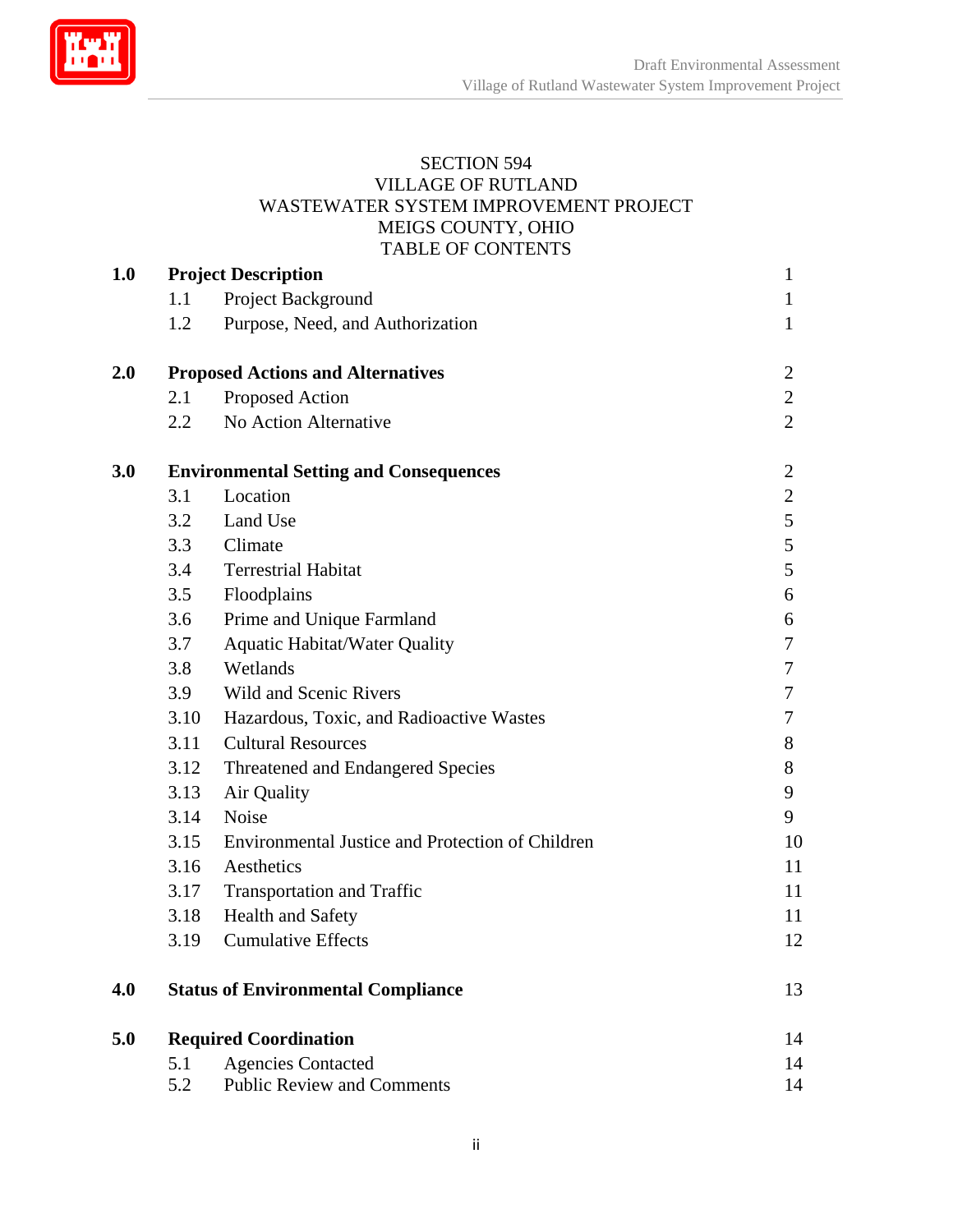

#### SECTION 594 VILLAGE OF RUTLAND WASTEWATER SYSTEM IMPROVEMENT PROJECT MEIGS COUNTY, OHIO TABLE OF CONTENTS

| <b>1.0</b> | <b>Project Description</b>                    |                                                  |                |
|------------|-----------------------------------------------|--------------------------------------------------|----------------|
|            | 1.1                                           | Project Background                               | $\mathbf{1}$   |
|            | 1.2                                           | Purpose, Need, and Authorization                 | $\mathbf{1}$   |
| 2.0        | <b>Proposed Actions and Alternatives</b>      | $\overline{2}$                                   |                |
|            | 2.1                                           | Proposed Action                                  | $\overline{2}$ |
|            | 2.2                                           | No Action Alternative                            | $\overline{2}$ |
| 3.0        | <b>Environmental Setting and Consequences</b> | $\overline{2}$                                   |                |
|            | 3.1                                           | Location                                         | $\overline{2}$ |
|            | 3.2                                           | Land Use                                         | 5              |
|            | 3.3                                           | Climate                                          | 5              |
|            | 3.4                                           | <b>Terrestrial Habitat</b>                       | 5              |
|            | 3.5                                           | Floodplains                                      | 6              |
|            | 3.6                                           | Prime and Unique Farmland                        | 6              |
|            | 3.7                                           | <b>Aquatic Habitat/Water Quality</b>             | 7              |
|            | 3.8                                           | Wetlands                                         | 7              |
|            | 3.9                                           | <b>Wild and Scenic Rivers</b>                    | 7              |
|            | 3.10                                          | Hazardous, Toxic, and Radioactive Wastes         | 7              |
|            | 3.11                                          | <b>Cultural Resources</b>                        | 8              |
|            | 3.12                                          | Threatened and Endangered Species                | 8              |
|            | 3.13                                          | Air Quality                                      | 9              |
|            | 3.14                                          | Noise                                            | 9              |
|            | 3.15                                          | Environmental Justice and Protection of Children | 10             |
|            | 3.16                                          | Aesthetics                                       | 11             |
|            | 3.17                                          | <b>Transportation and Traffic</b>                | 11             |
|            | 3.18                                          | <b>Health and Safety</b>                         | 11             |
|            | 3.19                                          | <b>Cumulative Effects</b>                        | 12             |
| 4.0        |                                               | <b>Status of Environmental Compliance</b>        | 13             |
| 5.0        | <b>Required Coordination</b>                  |                                                  |                |
|            | 5.1                                           | <b>Agencies Contacted</b>                        | 14             |
|            | 5.2                                           | <b>Public Review and Comments</b>                | 14             |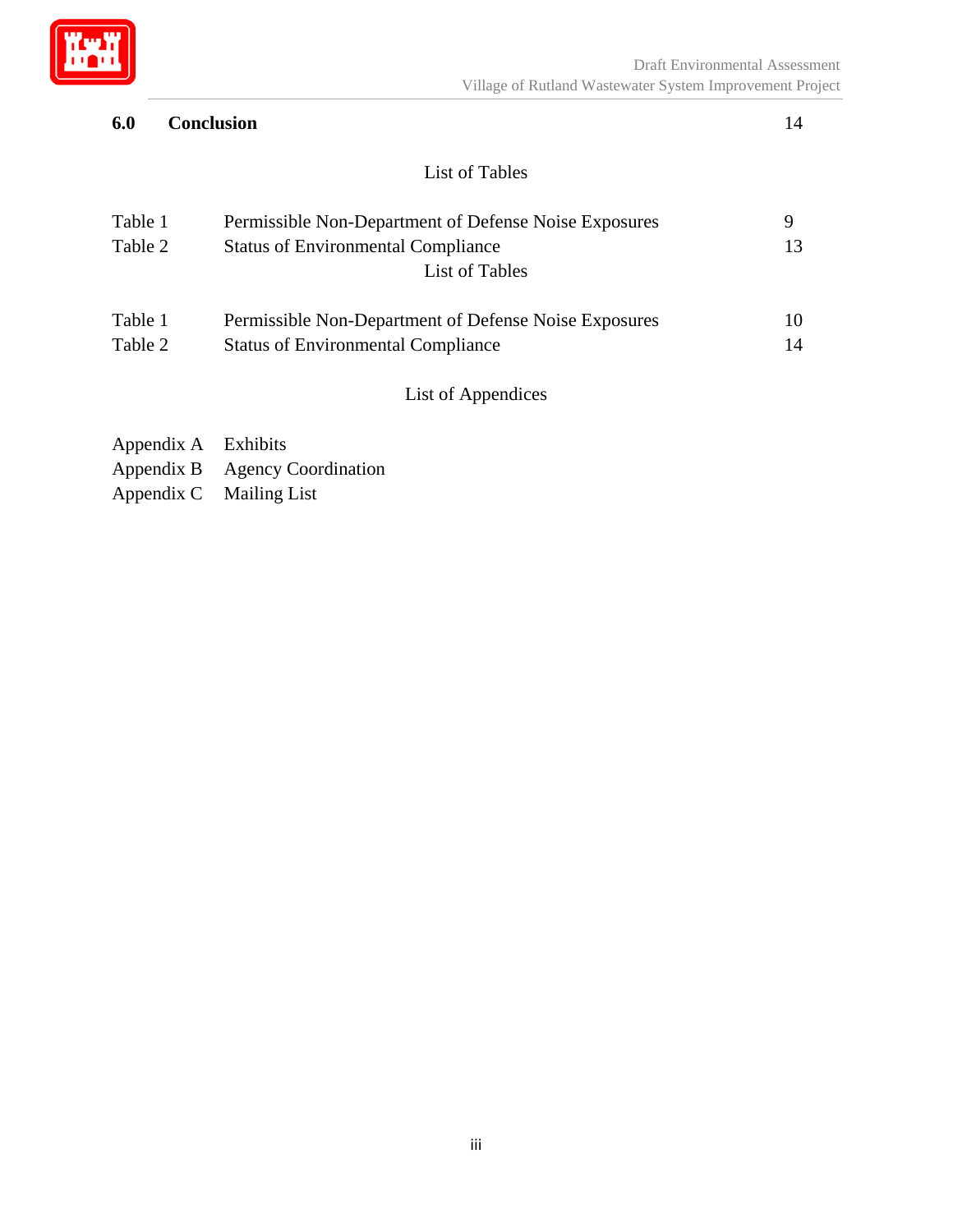

# **6.0 Conclusion** 14

# List of Tables

| Table 1<br>Table 2 | Permissible Non-Department of Defense Noise Exposures<br><b>Status of Environmental Compliance</b><br>List of Tables | 9<br>13 |
|--------------------|----------------------------------------------------------------------------------------------------------------------|---------|
| Table 1            | Permissible Non-Department of Defense Noise Exposures                                                                | 10      |
| Table 2            | <b>Status of Environmental Compliance</b>                                                                            |         |
|                    | List of Appendices                                                                                                   |         |

- Appendix A Exhibits
- Appendix B Agency Coordination
- Appendix C Mailing List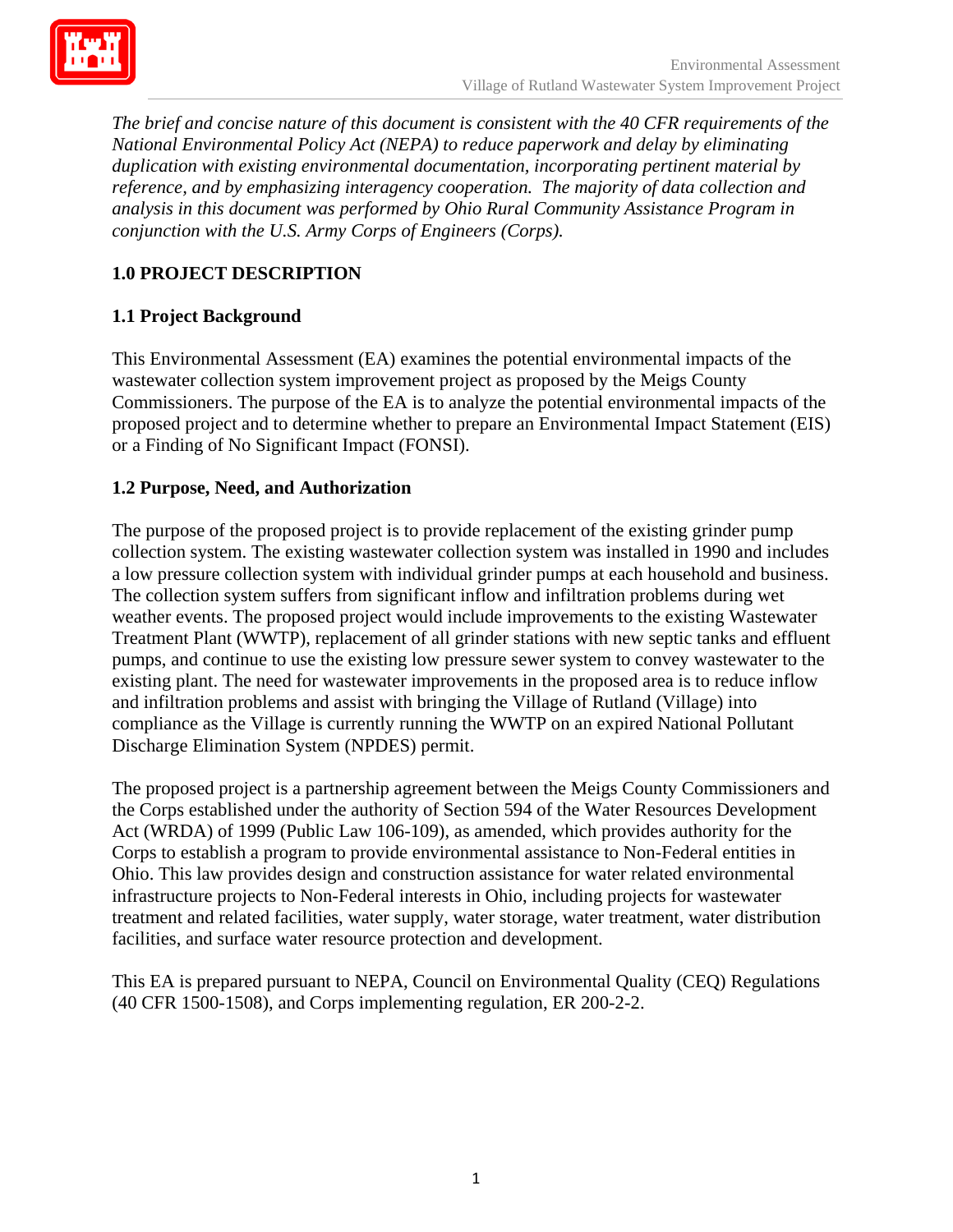

*The brief and concise nature of this document is consistent with the 40 CFR requirements of the National Environmental Policy Act (NEPA) to reduce paperwork and delay by eliminating duplication with existing environmental documentation, incorporating pertinent material by reference, and by emphasizing interagency cooperation. The majority of data collection and analysis in this document was performed by Ohio Rural Community Assistance Program in conjunction with the U.S. Army Corps of Engineers (Corps).*

# **1.0 PROJECT DESCRIPTION**

# **1.1 Project Background**

This Environmental Assessment (EA) examines the potential environmental impacts of the wastewater collection system improvement project as proposed by the Meigs County Commissioners. The purpose of the EA is to analyze the potential environmental impacts of the proposed project and to determine whether to prepare an Environmental Impact Statement (EIS) or a Finding of No Significant Impact (FONSI).

# **1.2 Purpose, Need, and Authorization**

The purpose of the proposed project is to provide replacement of the existing grinder pump collection system. The existing wastewater collection system was installed in 1990 and includes a low pressure collection system with individual grinder pumps at each household and business. The collection system suffers from significant inflow and infiltration problems during wet weather events. The proposed project would include improvements to the existing Wastewater Treatment Plant (WWTP), replacement of all grinder stations with new septic tanks and effluent pumps, and continue to use the existing low pressure sewer system to convey wastewater to the existing plant. The need for wastewater improvements in the proposed area is to reduce inflow and infiltration problems and assist with bringing the Village of Rutland (Village) into compliance as the Village is currently running the WWTP on an expired National Pollutant Discharge Elimination System (NPDES) permit.

The proposed project is a partnership agreement between the Meigs County Commissioners and the Corps established under the authority of Section 594 of the Water Resources Development Act (WRDA) of 1999 (Public Law 106-109), as amended, which provides authority for the Corps to establish a program to provide environmental assistance to Non-Federal entities in Ohio. This law provides design and construction assistance for water related environmental infrastructure projects to Non-Federal interests in Ohio, including projects for wastewater treatment and related facilities, water supply, water storage, water treatment, water distribution facilities, and surface water resource protection and development.

This EA is prepared pursuant to NEPA, Council on Environmental Quality (CEQ) Regulations (40 CFR 1500-1508), and Corps implementing regulation, ER 200-2-2.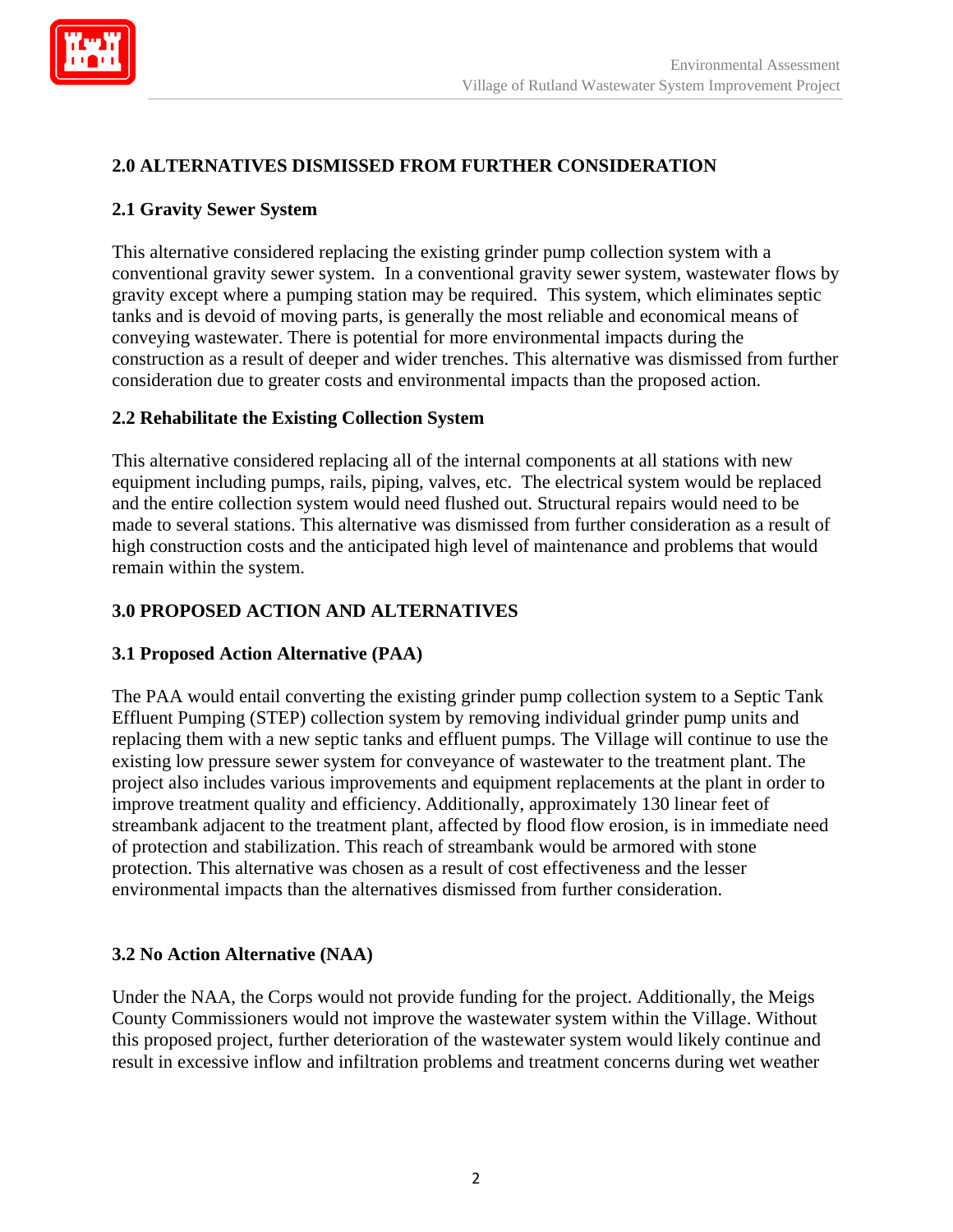

# **2.0 ALTERNATIVES DISMISSED FROM FURTHER CONSIDERATION**

## **2.1 Gravity Sewer System**

This alternative considered replacing the existing grinder pump collection system with a conventional gravity sewer system. In a conventional gravity sewer system, wastewater flows by gravity except where a pumping station may be required. This system, which eliminates septic tanks and is devoid of moving parts, is generally the most reliable and economical means of conveying wastewater. There is potential for more environmental impacts during the construction as a result of deeper and wider trenches. This alternative was dismissed from further consideration due to greater costs and environmental impacts than the proposed action.

### **2.2 Rehabilitate the Existing Collection System**

This alternative considered replacing all of the internal components at all stations with new equipment including pumps, rails, piping, valves, etc. The electrical system would be replaced and the entire collection system would need flushed out. Structural repairs would need to be made to several stations. This alternative was dismissed from further consideration as a result of high construction costs and the anticipated high level of maintenance and problems that would remain within the system.

### **3.0 PROPOSED ACTION AND ALTERNATIVES**

### **3.1 Proposed Action Alternative (PAA)**

The PAA would entail converting the existing grinder pump collection system to a Septic Tank Effluent Pumping (STEP) collection system by removing individual grinder pump units and replacing them with a new septic tanks and effluent pumps. The Village will continue to use the existing low pressure sewer system for conveyance of wastewater to the treatment plant. The project also includes various improvements and equipment replacements at the plant in order to improve treatment quality and efficiency. Additionally, approximately 130 linear feet of streambank adjacent to the treatment plant, affected by flood flow erosion, is in immediate need of protection and stabilization. This reach of streambank would be armored with stone protection. This alternative was chosen as a result of cost effectiveness and the lesser environmental impacts than the alternatives dismissed from further consideration.

### **3.2 No Action Alternative (NAA)**

Under the NAA, the Corps would not provide funding for the project. Additionally, the Meigs County Commissioners would not improve the wastewater system within the Village. Without this proposed project, further deterioration of the wastewater system would likely continue and result in excessive inflow and infiltration problems and treatment concerns during wet weather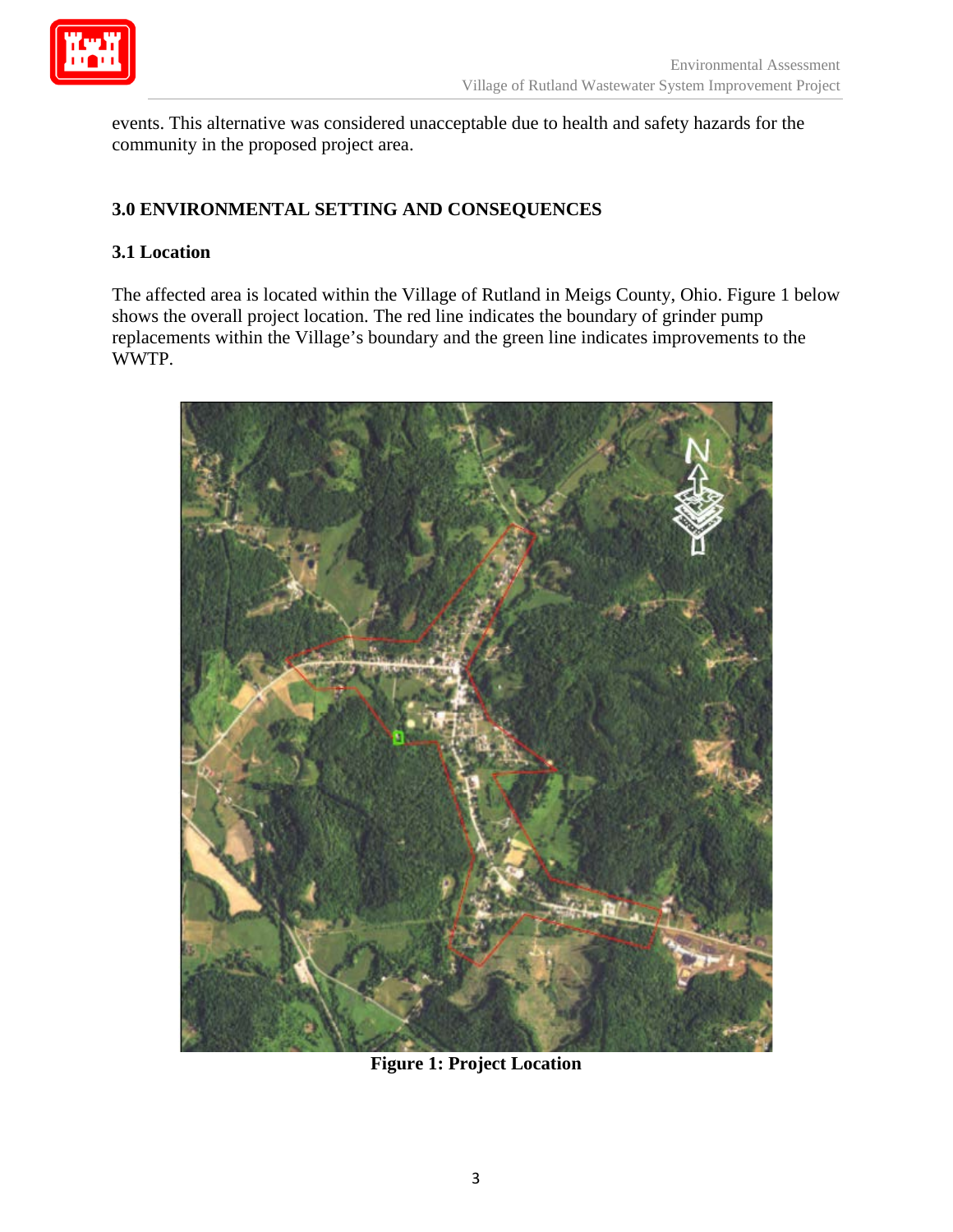

events. This alternative was considered unacceptable due to health and safety hazards for the community in the proposed project area.

# **3.0 ENVIRONMENTAL SETTING AND CONSEQUENCES**

## **3.1 Location**

The affected area is located within the Village of Rutland in Meigs County, Ohio. Figure 1 below shows the overall project location. The red line indicates the boundary of grinder pump replacements within the Village's boundary and the green line indicates improvements to the WWTP.



**Figure 1: Project Location**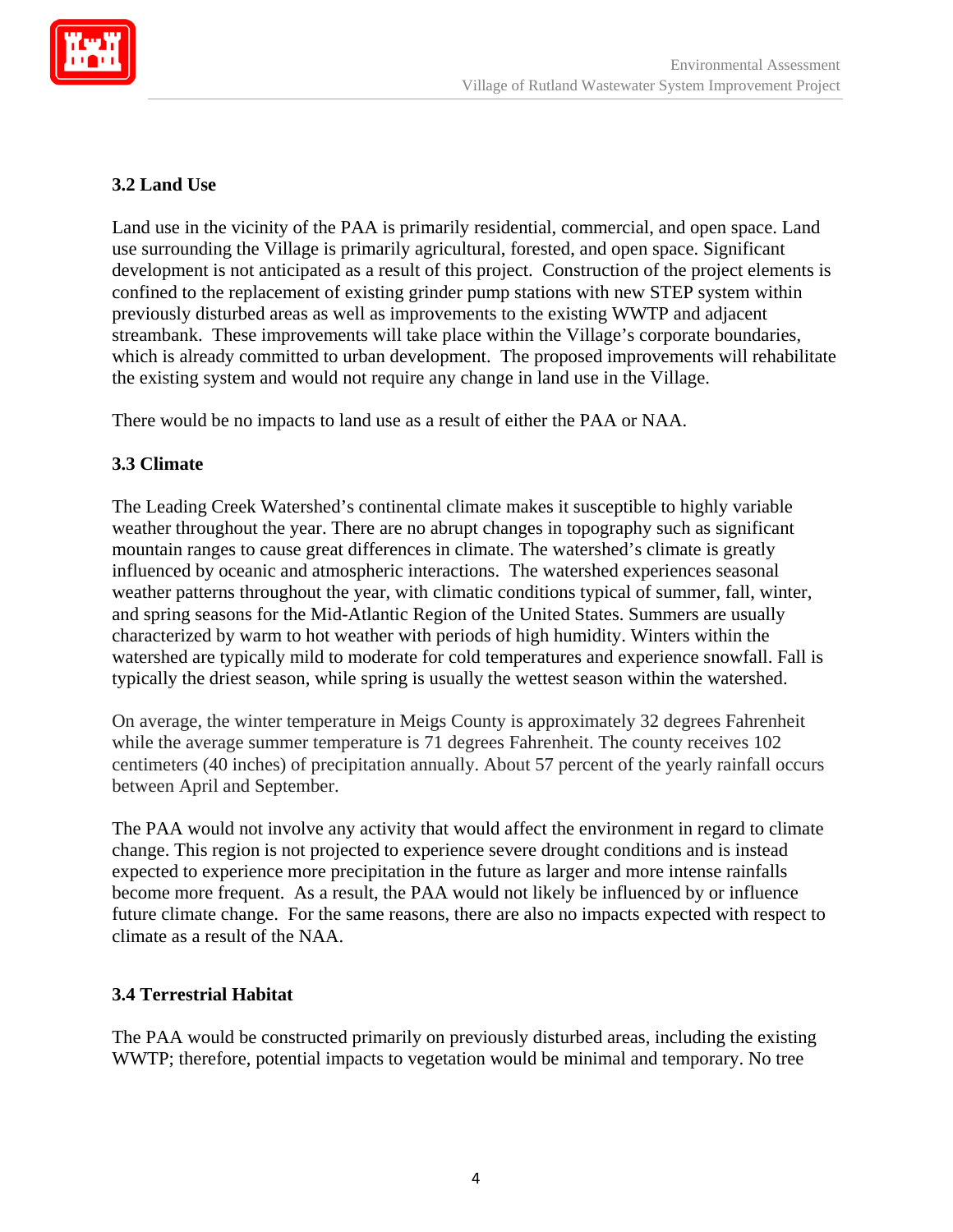

# **3.2 Land Use**

Land use in the vicinity of the PAA is primarily residential, commercial, and open space. Land use surrounding the Village is primarily agricultural, forested, and open space. Significant development is not anticipated as a result of this project. Construction of the project elements is confined to the replacement of existing grinder pump stations with new STEP system within previously disturbed areas as well as improvements to the existing WWTP and adjacent streambank. These improvements will take place within the Village's corporate boundaries, which is already committed to urban development. The proposed improvements will rehabilitate the existing system and would not require any change in land use in the Village.

There would be no impacts to land use as a result of either the PAA or NAA.

## **3.3 Climate**

The Leading Creek Watershed's continental climate makes it susceptible to highly variable weather throughout the year. There are no abrupt changes in topography such as significant mountain ranges to cause great differences in climate. The watershed's climate is greatly influenced by oceanic and atmospheric interactions. The watershed experiences seasonal weather patterns throughout the year, with climatic conditions typical of summer, fall, winter, and spring seasons for the Mid-Atlantic Region of the United States. Summers are usually characterized by warm to hot weather with periods of high humidity. Winters within the watershed are typically mild to moderate for cold temperatures and experience snowfall. Fall is typically the driest season, while spring is usually the wettest season within the watershed.

On average, the winter temperature in Meigs County is approximately 32 degrees Fahrenheit while the average summer temperature is 71 degrees Fahrenheit. The county receives 102 centimeters (40 inches) of precipitation annually. About 57 percent of the yearly rainfall occurs between April and September.

The PAA would not involve any activity that would affect the environment in regard to climate change. This region is not projected to experience severe drought conditions and is instead expected to experience more precipitation in the future as larger and more intense rainfalls become more frequent. As a result, the PAA would not likely be influenced by or influence future climate change. For the same reasons, there are also no impacts expected with respect to climate as a result of the NAA.

### **3.4 Terrestrial Habitat**

The PAA would be constructed primarily on previously disturbed areas, including the existing WWTP; therefore, potential impacts to vegetation would be minimal and temporary. No tree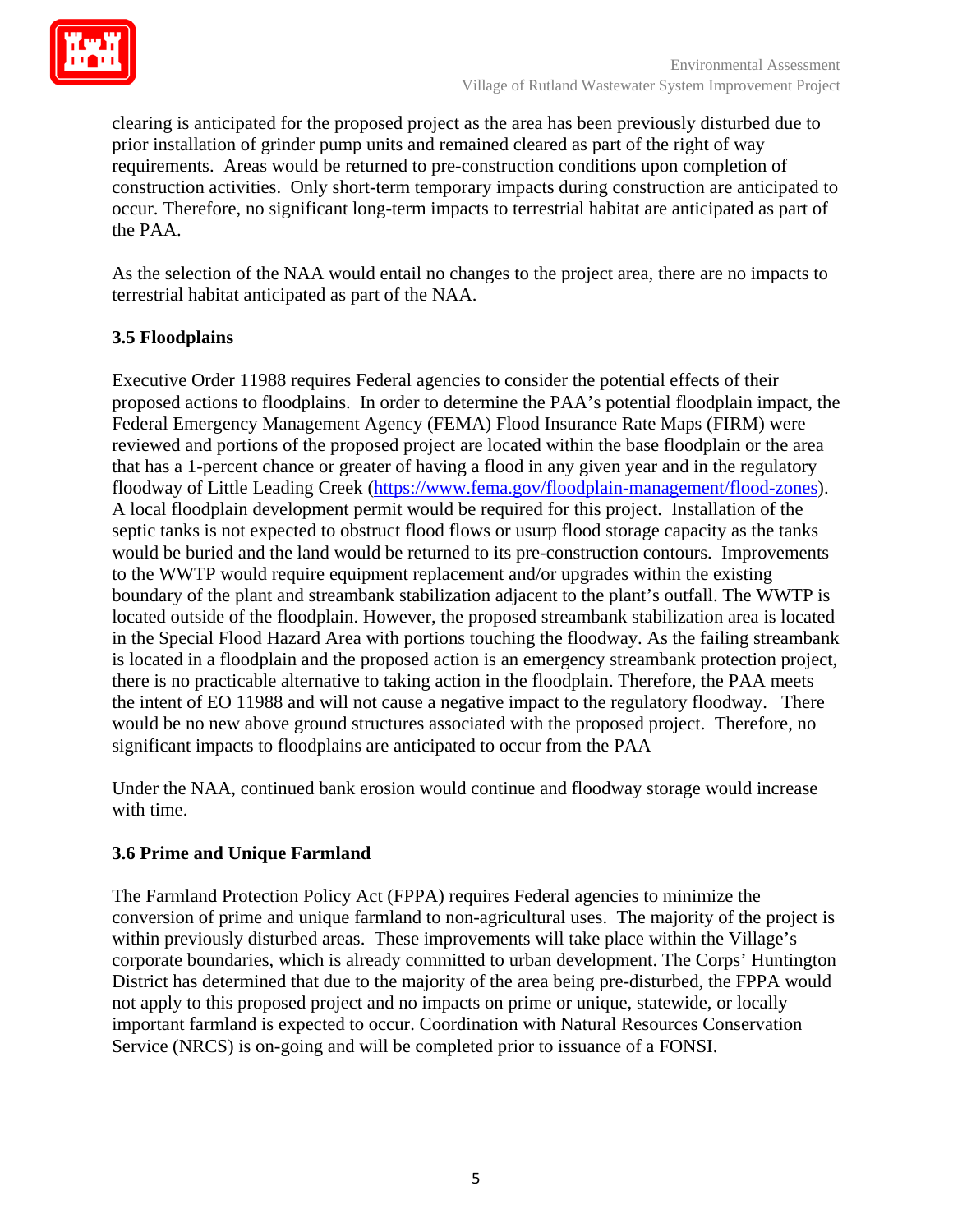

clearing is anticipated for the proposed project as the area has been previously disturbed due to prior installation of grinder pump units and remained cleared as part of the right of way requirements. Areas would be returned to pre-construction conditions upon completion of construction activities. Only short-term temporary impacts during construction are anticipated to occur. Therefore, no significant long-term impacts to terrestrial habitat are anticipated as part of the PAA.

As the selection of the NAA would entail no changes to the project area, there are no impacts to terrestrial habitat anticipated as part of the NAA.

# **3.5 Floodplains**

Executive Order 11988 requires Federal agencies to consider the potential effects of their proposed actions to floodplains. In order to determine the PAA's potential floodplain impact, the Federal Emergency Management Agency (FEMA) Flood Insurance Rate Maps (FIRM) were reviewed and portions of the proposed project are located within the base floodplain or the area that has a 1-percent chance or greater of having a flood in any given year and in the regulatory floodway of Little Leading Creek [\(https://www.fema.gov/floodplain-management/flood-zones\)](https://www.fema.gov/floodplain-management/flood-zones). A local floodplain development permit would be required for this project. Installation of the septic tanks is not expected to obstruct flood flows or usurp flood storage capacity as the tanks would be buried and the land would be returned to its pre-construction contours. Improvements to the WWTP would require equipment replacement and/or upgrades within the existing boundary of the plant and streambank stabilization adjacent to the plant's outfall. The WWTP is located outside of the floodplain. However, the proposed streambank stabilization area is located in the Special Flood Hazard Area with portions touching the floodway. As the failing streambank is located in a floodplain and the proposed action is an emergency streambank protection project, there is no practicable alternative to taking action in the floodplain. Therefore, the PAA meets the intent of EO 11988 and will not cause a negative impact to the regulatory floodway. There would be no new above ground structures associated with the proposed project. Therefore, no significant impacts to floodplains are anticipated to occur from the PAA

Under the NAA, continued bank erosion would continue and floodway storage would increase with time.

# **3.6 Prime and Unique Farmland**

The Farmland Protection Policy Act (FPPA) requires Federal agencies to minimize the conversion of prime and unique farmland to non-agricultural uses. The majority of the project is within previously disturbed areas. These improvements will take place within the Village's corporate boundaries, which is already committed to urban development. The Corps' Huntington District has determined that due to the majority of the area being pre-disturbed, the FPPA would not apply to this proposed project and no impacts on prime or unique, statewide, or locally important farmland is expected to occur. Coordination with Natural Resources Conservation Service (NRCS) is on-going and will be completed prior to issuance of a FONSI.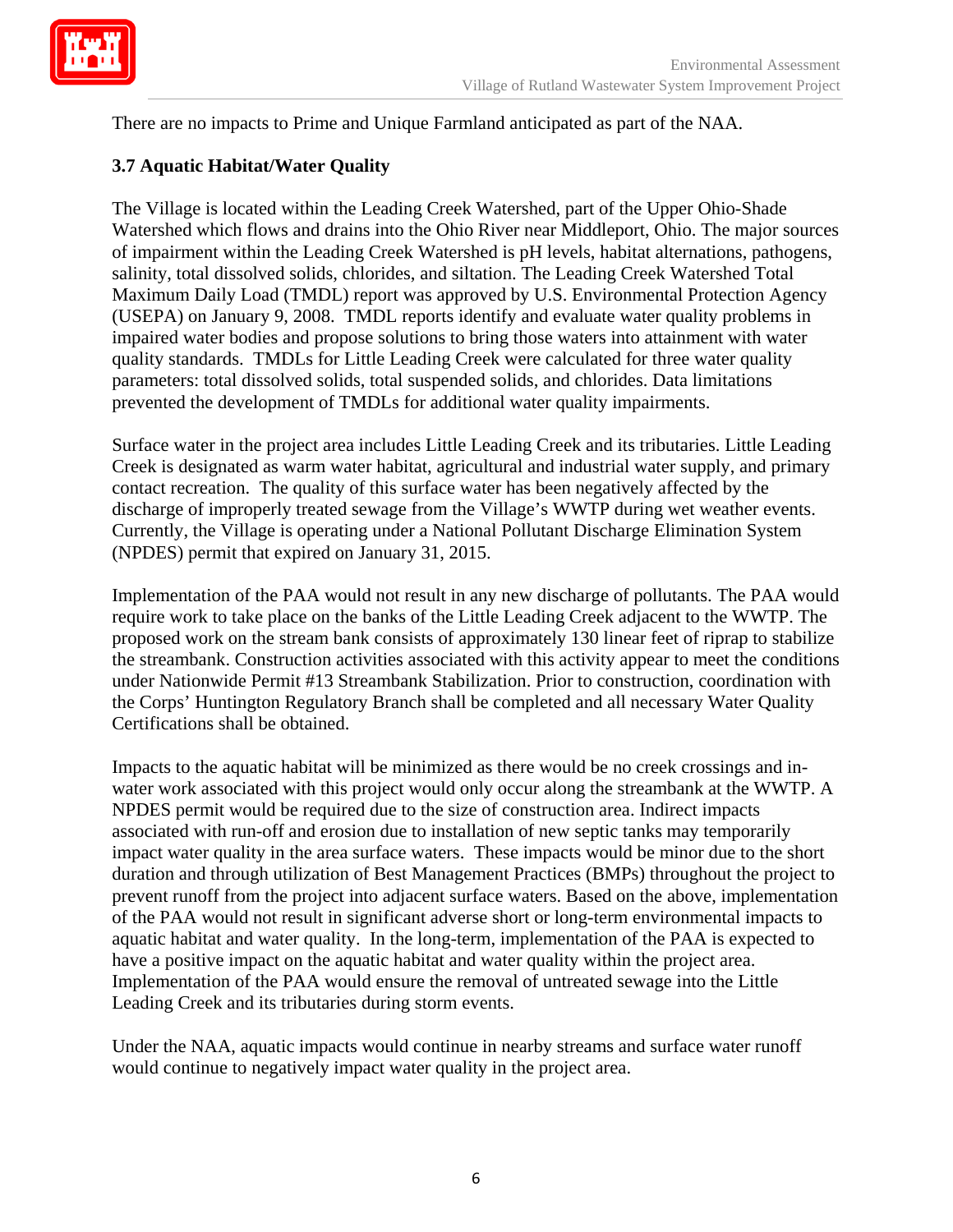

There are no impacts to Prime and Unique Farmland anticipated as part of the NAA.

## **3.7 Aquatic Habitat/Water Quality**

The Village is located within the Leading Creek Watershed, part of the Upper Ohio-Shade Watershed which flows and drains into the Ohio River near Middleport, Ohio. The major sources of impairment within the Leading Creek Watershed is pH levels, habitat alternations, pathogens, salinity, total dissolved solids, chlorides, and siltation. The Leading Creek Watershed Total Maximum Daily Load (TMDL) report was approved by U.S. Environmental Protection Agency (USEPA) on January 9, 2008. TMDL reports identify and evaluate water quality problems in impaired water bodies and propose solutions to bring those waters into attainment with water quality standards. TMDLs for Little Leading Creek were calculated for three water quality parameters: total dissolved solids, total suspended solids, and chlorides. Data limitations prevented the development of TMDLs for additional water quality impairments.

Surface water in the project area includes Little Leading Creek and its tributaries. Little Leading Creek is designated as warm water habitat, agricultural and industrial water supply, and primary contact recreation. The quality of this surface water has been negatively affected by the discharge of improperly treated sewage from the Village's WWTP during wet weather events. Currently, the Village is operating under a National Pollutant Discharge Elimination System (NPDES) permit that expired on January 31, 2015.

Implementation of the PAA would not result in any new discharge of pollutants. The PAA would require work to take place on the banks of the Little Leading Creek adjacent to the WWTP. The proposed work on the stream bank consists of approximately 130 linear feet of riprap to stabilize the streambank. Construction activities associated with this activity appear to meet the conditions under Nationwide Permit #13 Streambank Stabilization. Prior to construction, coordination with the Corps' Huntington Regulatory Branch shall be completed and all necessary Water Quality Certifications shall be obtained.

Impacts to the aquatic habitat will be minimized as there would be no creek crossings and inwater work associated with this project would only occur along the streambank at the WWTP. A NPDES permit would be required due to the size of construction area. Indirect impacts associated with run-off and erosion due to installation of new septic tanks may temporarily impact water quality in the area surface waters. These impacts would be minor due to the short duration and through utilization of Best Management Practices (BMPs) throughout the project to prevent runoff from the project into adjacent surface waters. Based on the above, implementation of the PAA would not result in significant adverse short or long-term environmental impacts to aquatic habitat and water quality. In the long-term, implementation of the PAA is expected to have a positive impact on the aquatic habitat and water quality within the project area. Implementation of the PAA would ensure the removal of untreated sewage into the Little Leading Creek and its tributaries during storm events.

Under the NAA, aquatic impacts would continue in nearby streams and surface water runoff would continue to negatively impact water quality in the project area.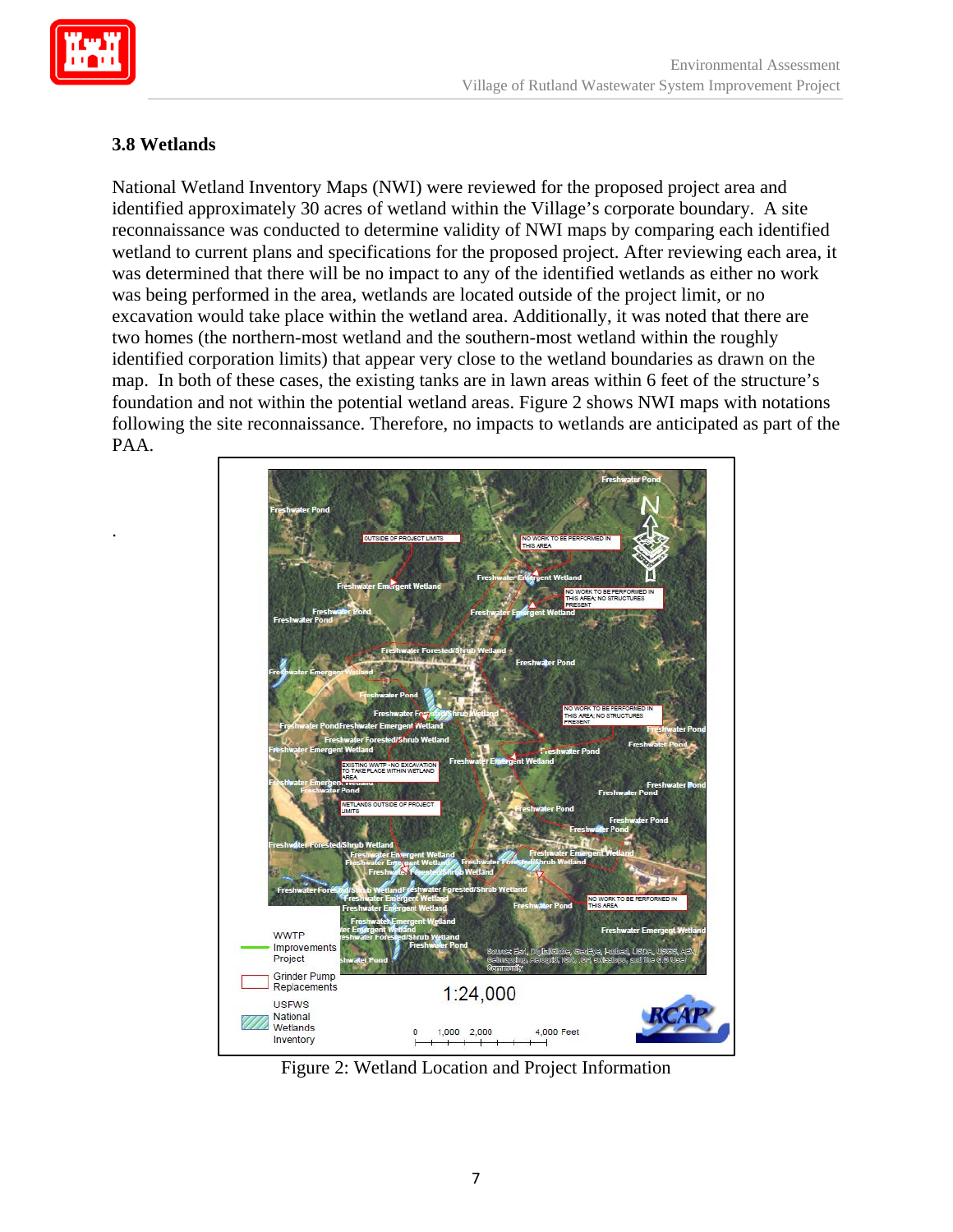

.

# **3.8 Wetlands**

National Wetland Inventory Maps (NWI) were reviewed for the proposed project area and identified approximately 30 acres of wetland within the Village's corporate boundary. A site reconnaissance was conducted to determine validity of NWI maps by comparing each identified wetland to current plans and specifications for the proposed project. After reviewing each area, it was determined that there will be no impact to any of the identified wetlands as either no work was being performed in the area, wetlands are located outside of the project limit, or no excavation would take place within the wetland area. Additionally, it was noted that there are two homes (the northern-most wetland and the southern-most wetland within the roughly identified corporation limits) that appear very close to the wetland boundaries as drawn on the map. In both of these cases, the existing tanks are in lawn areas within 6 feet of the structure's foundation and not within the potential wetland areas. Figure 2 shows NWI maps with notations following the site reconnaissance. Therefore, no impacts to wetlands are anticipated as part of the PAA.



Figure 2: Wetland Location and Project Information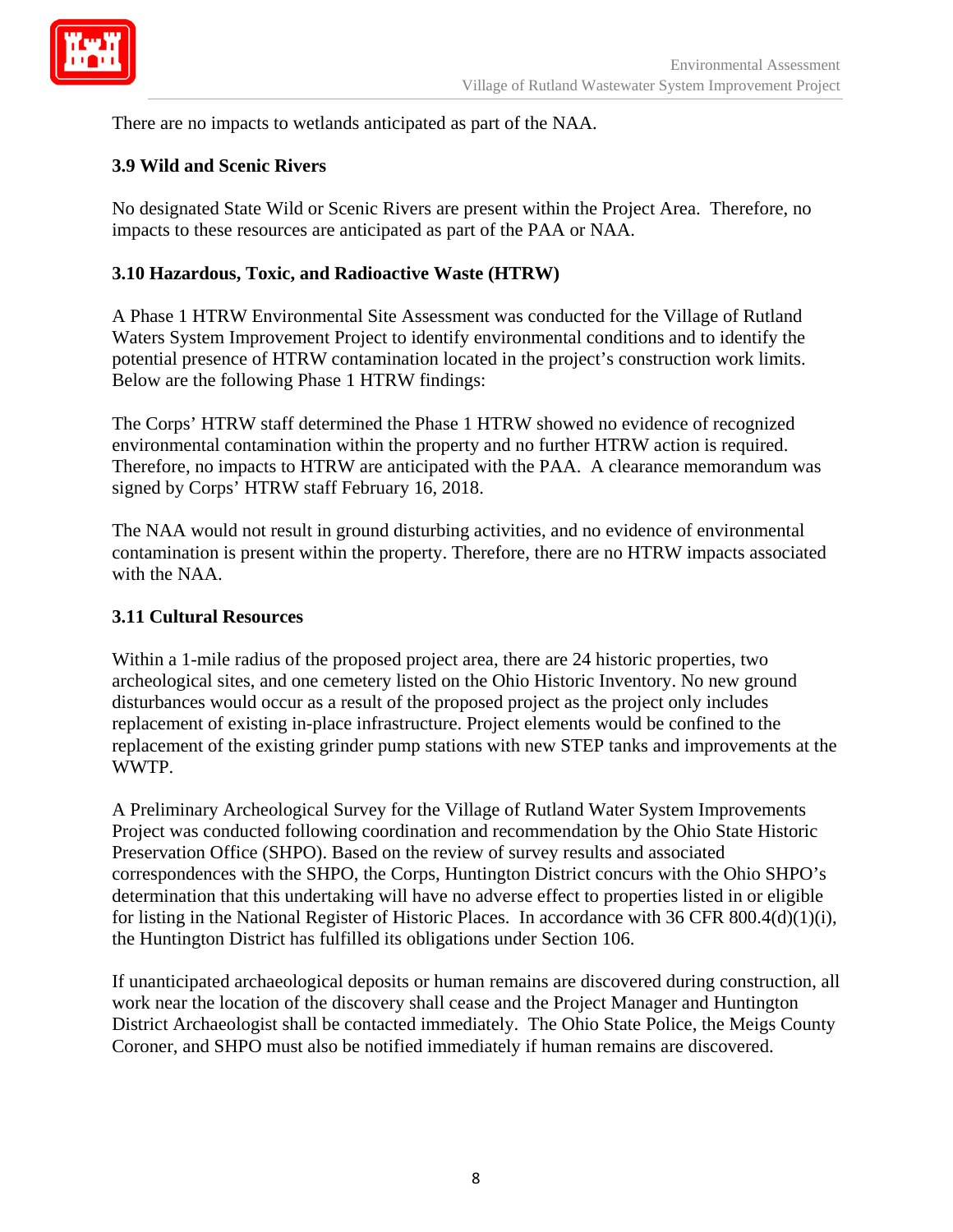

There are no impacts to wetlands anticipated as part of the NAA.

### **3.9 Wild and Scenic Rivers**

No designated State Wild or Scenic Rivers are present within the Project Area. Therefore, no impacts to these resources are anticipated as part of the PAA or NAA.

### **3.10 Hazardous, Toxic, and Radioactive Waste (HTRW)**

A Phase 1 HTRW Environmental Site Assessment was conducted for the Village of Rutland Waters System Improvement Project to identify environmental conditions and to identify the potential presence of HTRW contamination located in the project's construction work limits. Below are the following Phase 1 HTRW findings:

The Corps' HTRW staff determined the Phase 1 HTRW showed no evidence of recognized environmental contamination within the property and no further HTRW action is required. Therefore, no impacts to HTRW are anticipated with the PAA. A clearance memorandum was signed by Corps' HTRW staff February 16, 2018.

The NAA would not result in ground disturbing activities, and no evidence of environmental contamination is present within the property. Therefore, there are no HTRW impacts associated with the NAA.

#### **3.11 Cultural Resources**

Within a 1-mile radius of the proposed project area, there are 24 historic properties, two archeological sites, and one cemetery listed on the Ohio Historic Inventory. No new ground disturbances would occur as a result of the proposed project as the project only includes replacement of existing in-place infrastructure. Project elements would be confined to the replacement of the existing grinder pump stations with new STEP tanks and improvements at the WWTP.

A Preliminary Archeological Survey for the Village of Rutland Water System Improvements Project was conducted following coordination and recommendation by the Ohio State Historic Preservation Office (SHPO). Based on the review of survey results and associated correspondences with the SHPO, the Corps, Huntington District concurs with the Ohio SHPO's determination that this undertaking will have no adverse effect to properties listed in or eligible for listing in the National Register of Historic Places. In accordance with 36 CFR 800.4(d)(1)(i), the Huntington District has fulfilled its obligations under Section 106.

If unanticipated archaeological deposits or human remains are discovered during construction, all work near the location of the discovery shall cease and the Project Manager and Huntington District Archaeologist shall be contacted immediately. The Ohio State Police, the Meigs County Coroner, and SHPO must also be notified immediately if human remains are discovered.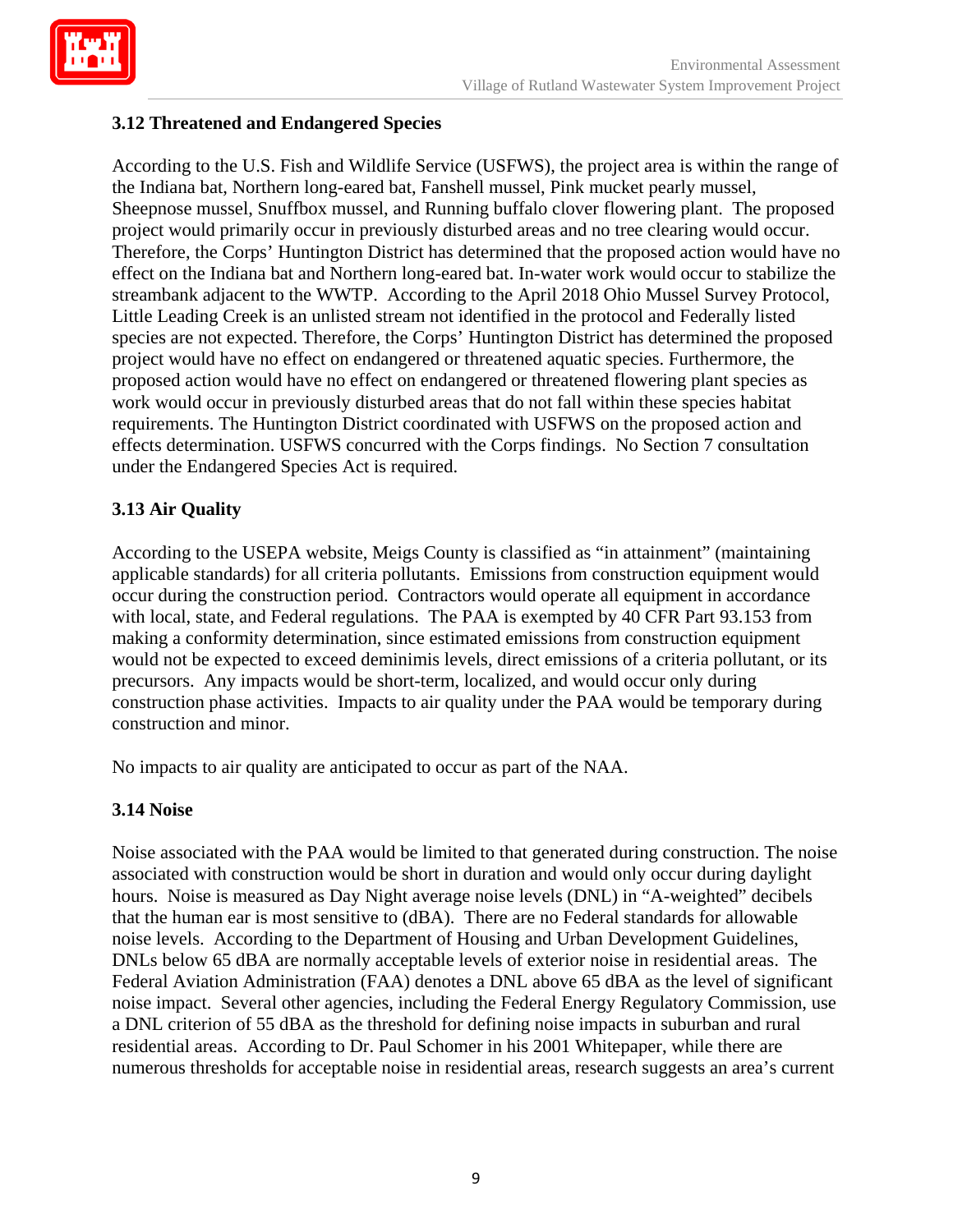

# **3.12 Threatened and Endangered Species**

According to the U.S. Fish and Wildlife Service (USFWS), the project area is within the range of the Indiana bat, Northern long-eared bat, Fanshell mussel, Pink mucket pearly mussel, Sheepnose mussel, Snuffbox mussel, and Running buffalo clover flowering plant. The proposed project would primarily occur in previously disturbed areas and no tree clearing would occur. Therefore, the Corps' Huntington District has determined that the proposed action would have no effect on the Indiana bat and Northern long-eared bat. In-water work would occur to stabilize the streambank adjacent to the WWTP. According to the April 2018 Ohio Mussel Survey Protocol, Little Leading Creek is an unlisted stream not identified in the protocol and Federally listed species are not expected. Therefore, the Corps' Huntington District has determined the proposed project would have no effect on endangered or threatened aquatic species. Furthermore, the proposed action would have no effect on endangered or threatened flowering plant species as work would occur in previously disturbed areas that do not fall within these species habitat requirements. The Huntington District coordinated with USFWS on the proposed action and effects determination. USFWS concurred with the Corps findings. No Section 7 consultation under the Endangered Species Act is required.

# **3.13 Air Quality**

According to the USEPA website, Meigs County is classified as "in attainment" (maintaining applicable standards) for all criteria pollutants. Emissions from construction equipment would occur during the construction period. Contractors would operate all equipment in accordance with local, state, and Federal regulations. The PAA is exempted by 40 CFR Part 93.153 from making a conformity determination, since estimated emissions from construction equipment would not be expected to exceed deminimis levels, direct emissions of a criteria pollutant, or its precursors. Any impacts would be short-term, localized, and would occur only during construction phase activities. Impacts to air quality under the PAA would be temporary during construction and minor.

No impacts to air quality are anticipated to occur as part of the NAA.

### **3.14 Noise**

Noise associated with the PAA would be limited to that generated during construction. The noise associated with construction would be short in duration and would only occur during daylight hours. Noise is measured as Day Night average noise levels (DNL) in "A-weighted" decibels that the human ear is most sensitive to (dBA). There are no Federal standards for allowable noise levels. According to the Department of Housing and Urban Development Guidelines, DNLs below 65 dBA are normally acceptable levels of exterior noise in residential areas. The Federal Aviation Administration (FAA) denotes a DNL above 65 dBA as the level of significant noise impact. Several other agencies, including the Federal Energy Regulatory Commission, use a DNL criterion of 55 dBA as the threshold for defining noise impacts in suburban and rural residential areas. According to Dr. Paul Schomer in his 2001 Whitepaper, while there are numerous thresholds for acceptable noise in residential areas, research suggests an area's current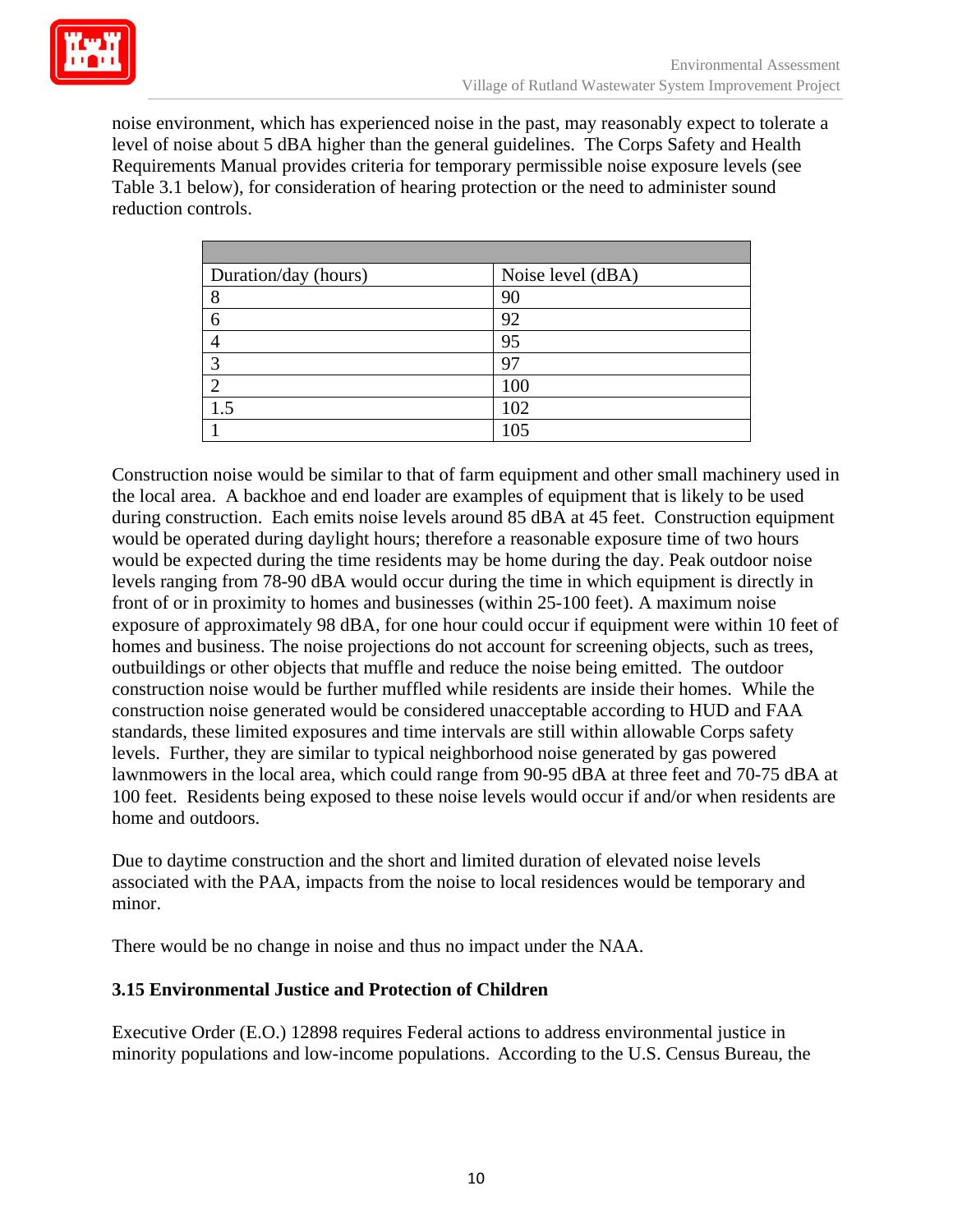

noise environment, which has experienced noise in the past, may reasonably expect to tolerate a level of noise about 5 dBA higher than the general guidelines. The Corps Safety and Health Requirements Manual provides criteria for temporary permissible noise exposure levels (see Table 3.1 below), for consideration of hearing protection or the need to administer sound reduction controls.

| Duration/day (hours) | Noise level (dBA) |
|----------------------|-------------------|
| 8                    | 90                |
| 6                    | 92                |
| 4                    | 95                |
| 3                    | 97                |
| ◠                    | 100               |
| 1.5                  | 102               |
|                      | 105               |

Construction noise would be similar to that of farm equipment and other small machinery used in the local area. A backhoe and end loader are examples of equipment that is likely to be used during construction. Each emits noise levels around 85 dBA at 45 feet. Construction equipment would be operated during daylight hours; therefore a reasonable exposure time of two hours would be expected during the time residents may be home during the day. Peak outdoor noise levels ranging from 78-90 dBA would occur during the time in which equipment is directly in front of or in proximity to homes and businesses (within 25-100 feet). A maximum noise exposure of approximately 98 dBA, for one hour could occur if equipment were within 10 feet of homes and business. The noise projections do not account for screening objects, such as trees, outbuildings or other objects that muffle and reduce the noise being emitted. The outdoor construction noise would be further muffled while residents are inside their homes. While the construction noise generated would be considered unacceptable according to HUD and FAA standards, these limited exposures and time intervals are still within allowable Corps safety levels. Further, they are similar to typical neighborhood noise generated by gas powered lawnmowers in the local area, which could range from 90-95 dBA at three feet and 70-75 dBA at 100 feet. Residents being exposed to these noise levels would occur if and/or when residents are home and outdoors.

Due to daytime construction and the short and limited duration of elevated noise levels associated with the PAA, impacts from the noise to local residences would be temporary and minor.

There would be no change in noise and thus no impact under the NAA.

### **3.15 Environmental Justice and Protection of Children**

Executive Order (E.O.) 12898 requires Federal actions to address environmental justice in minority populations and low-income populations. According to the U.S. Census Bureau, the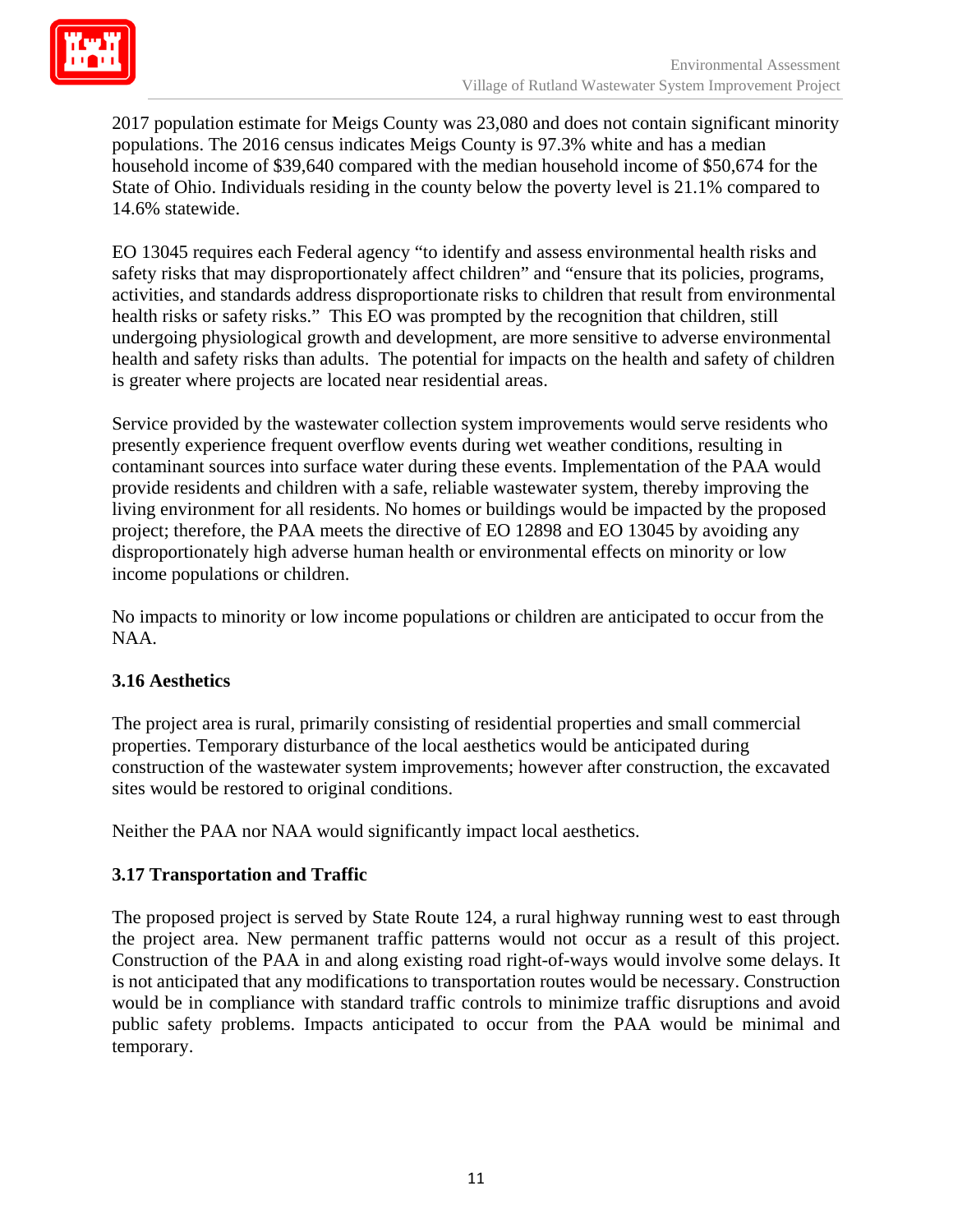

2017 population estimate for Meigs County was 23,080 and does not contain significant minority populations. The 2016 census indicates Meigs County is 97.3% white and has a median household income of \$39,640 compared with the median household income of \$50,674 for the State of Ohio. Individuals residing in the county below the poverty level is 21.1% compared to 14.6% statewide.

EO 13045 requires each Federal agency "to identify and assess environmental health risks and safety risks that may disproportionately affect children" and "ensure that its policies, programs, activities, and standards address disproportionate risks to children that result from environmental health risks or safety risks." This EO was prompted by the recognition that children, still undergoing physiological growth and development, are more sensitive to adverse environmental health and safety risks than adults. The potential for impacts on the health and safety of children is greater where projects are located near residential areas.

Service provided by the wastewater collection system improvements would serve residents who presently experience frequent overflow events during wet weather conditions, resulting in contaminant sources into surface water during these events. Implementation of the PAA would provide residents and children with a safe, reliable wastewater system, thereby improving the living environment for all residents. No homes or buildings would be impacted by the proposed project; therefore, the PAA meets the directive of EO 12898 and EO 13045 by avoiding any disproportionately high adverse human health or environmental effects on minority or low income populations or children.

No impacts to minority or low income populations or children are anticipated to occur from the NAA.

### **3.16 Aesthetics**

The project area is rural, primarily consisting of residential properties and small commercial properties. Temporary disturbance of the local aesthetics would be anticipated during construction of the wastewater system improvements; however after construction, the excavated sites would be restored to original conditions.

Neither the PAA nor NAA would significantly impact local aesthetics.

### **3.17 Transportation and Traffic**

The proposed project is served by State Route 124, a rural highway running west to east through the project area. New permanent traffic patterns would not occur as a result of this project. Construction of the PAA in and along existing road right-of-ways would involve some delays. It is not anticipated that any modifications to transportation routes would be necessary. Construction would be in compliance with standard traffic controls to minimize traffic disruptions and avoid public safety problems. Impacts anticipated to occur from the PAA would be minimal and temporary.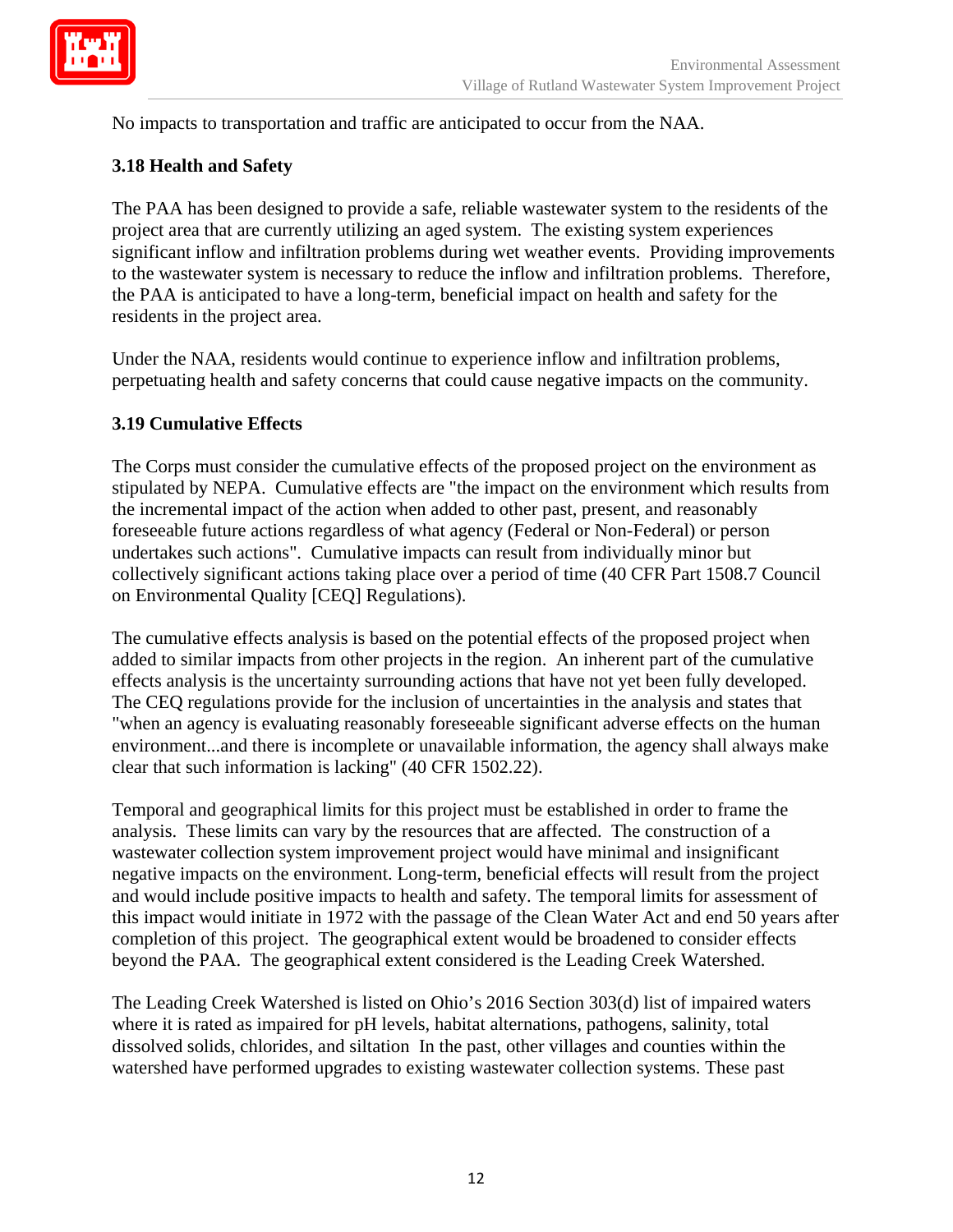

No impacts to transportation and traffic are anticipated to occur from the NAA.

### **3.18 Health and Safety**

The PAA has been designed to provide a safe, reliable wastewater system to the residents of the project area that are currently utilizing an aged system. The existing system experiences significant inflow and infiltration problems during wet weather events. Providing improvements to the wastewater system is necessary to reduce the inflow and infiltration problems. Therefore, the PAA is anticipated to have a long-term, beneficial impact on health and safety for the residents in the project area.

Under the NAA, residents would continue to experience inflow and infiltration problems, perpetuating health and safety concerns that could cause negative impacts on the community.

### **3.19 Cumulative Effects**

The Corps must consider the cumulative effects of the proposed project on the environment as stipulated by NEPA. Cumulative effects are "the impact on the environment which results from the incremental impact of the action when added to other past, present, and reasonably foreseeable future actions regardless of what agency (Federal or Non-Federal) or person undertakes such actions". Cumulative impacts can result from individually minor but collectively significant actions taking place over a period of time (40 CFR Part 1508.7 Council on Environmental Quality [CEQ] Regulations).

The cumulative effects analysis is based on the potential effects of the proposed project when added to similar impacts from other projects in the region. An inherent part of the cumulative effects analysis is the uncertainty surrounding actions that have not yet been fully developed. The CEQ regulations provide for the inclusion of uncertainties in the analysis and states that "when an agency is evaluating reasonably foreseeable significant adverse effects on the human environment...and there is incomplete or unavailable information, the agency shall always make clear that such information is lacking" (40 CFR 1502.22).

Temporal and geographical limits for this project must be established in order to frame the analysis. These limits can vary by the resources that are affected. The construction of a wastewater collection system improvement project would have minimal and insignificant negative impacts on the environment. Long-term, beneficial effects will result from the project and would include positive impacts to health and safety. The temporal limits for assessment of this impact would initiate in 1972 with the passage of the Clean Water Act and end 50 years after completion of this project. The geographical extent would be broadened to consider effects beyond the PAA. The geographical extent considered is the Leading Creek Watershed.

The Leading Creek Watershed is listed on Ohio's 2016 Section 303(d) list of impaired waters where it is rated as impaired for pH levels, habitat alternations, pathogens, salinity, total dissolved solids, chlorides, and siltation In the past, other villages and counties within the watershed have performed upgrades to existing wastewater collection systems. These past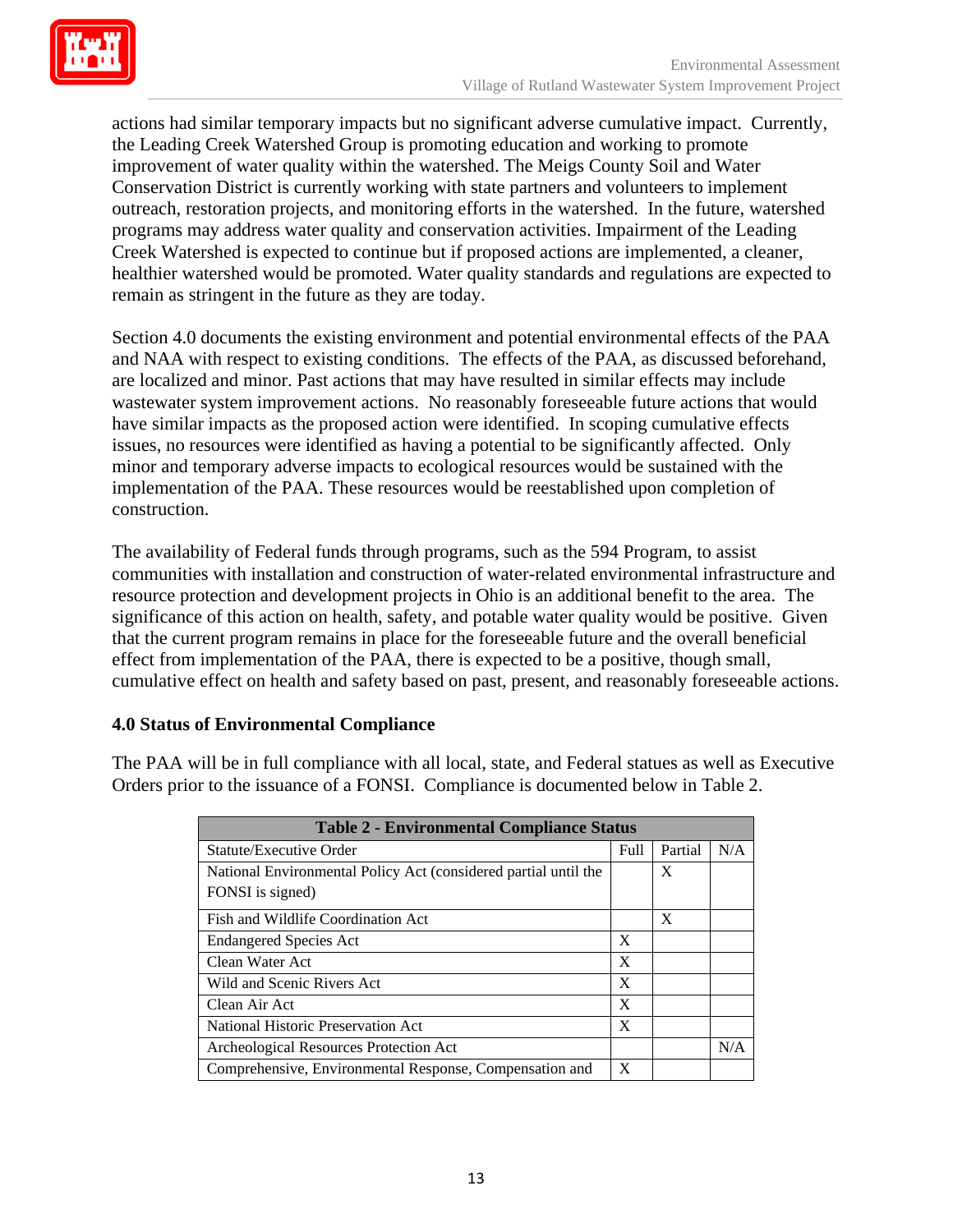

actions had similar temporary impacts but no significant adverse cumulative impact. Currently, the Leading Creek Watershed Group is promoting education and working to promote improvement of water quality within the watershed. The Meigs County Soil and Water Conservation District is currently working with state partners and volunteers to implement outreach, restoration projects, and monitoring efforts in the watershed. In the future, watershed programs may address water quality and conservation activities. Impairment of the Leading Creek Watershed is expected to continue but if proposed actions are implemented, a cleaner, healthier watershed would be promoted. Water quality standards and regulations are expected to remain as stringent in the future as they are today.

Section 4.0 documents the existing environment and potential environmental effects of the PAA and NAA with respect to existing conditions. The effects of the PAA, as discussed beforehand, are localized and minor. Past actions that may have resulted in similar effects may include wastewater system improvement actions. No reasonably foreseeable future actions that would have similar impacts as the proposed action were identified. In scoping cumulative effects issues, no resources were identified as having a potential to be significantly affected. Only minor and temporary adverse impacts to ecological resources would be sustained with the implementation of the PAA. These resources would be reestablished upon completion of construction.

The availability of Federal funds through programs, such as the 594 Program, to assist communities with installation and construction of water-related environmental infrastructure and resource protection and development projects in Ohio is an additional benefit to the area. The significance of this action on health, safety, and potable water quality would be positive. Given that the current program remains in place for the foreseeable future and the overall beneficial effect from implementation of the PAA, there is expected to be a positive, though small, cumulative effect on health and safety based on past, present, and reasonably foreseeable actions.

#### **4.0 Status of Environmental Compliance**

The PAA will be in full compliance with all local, state, and Federal statues as well as Executive Orders prior to the issuance of a FONSI. Compliance is documented below in Table 2.

| <b>Table 2 - Environmental Compliance Status</b>                |      |         |     |  |  |
|-----------------------------------------------------------------|------|---------|-----|--|--|
| <b>Statute/Executive Order</b>                                  | Full | Partial | N/A |  |  |
| National Environmental Policy Act (considered partial until the |      | X       |     |  |  |
| FONSI is signed)                                                |      |         |     |  |  |
| Fish and Wildlife Coordination Act                              |      | X       |     |  |  |
| <b>Endangered Species Act</b>                                   |      |         |     |  |  |
| Clean Water Act                                                 |      |         |     |  |  |
| Wild and Scenic Rivers Act                                      |      |         |     |  |  |
| Clean Air Act                                                   |      |         |     |  |  |
| National Historic Preservation Act                              |      |         |     |  |  |
| Archeological Resources Protection Act                          |      |         | N/A |  |  |
| Comprehensive, Environmental Response, Compensation and         |      |         |     |  |  |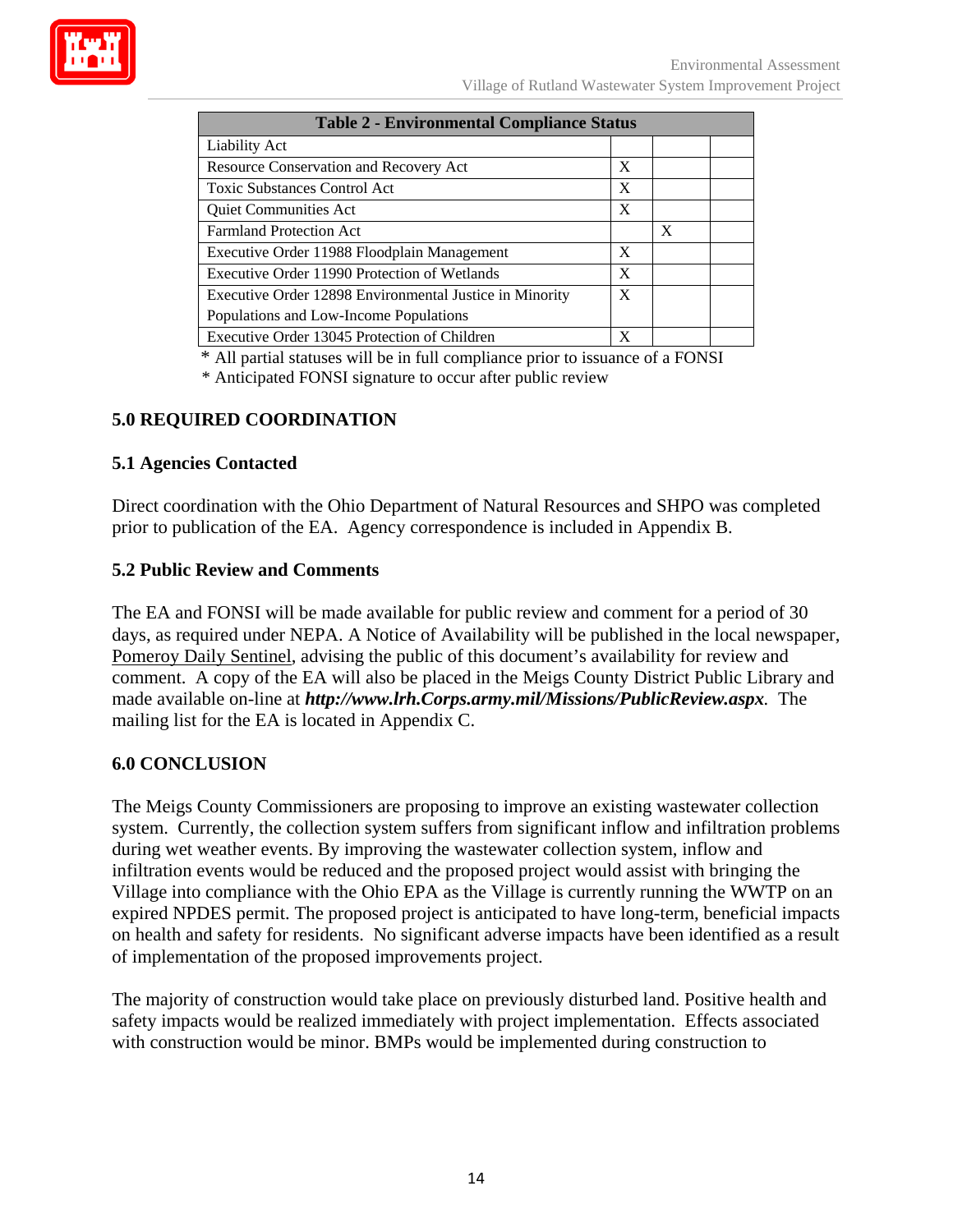

| <b>Table 2 - Environmental Compliance Status</b>        |   |   |  |  |
|---------------------------------------------------------|---|---|--|--|
| <b>Liability Act</b>                                    |   |   |  |  |
| Resource Conservation and Recovery Act                  | X |   |  |  |
| <b>Toxic Substances Control Act</b>                     | X |   |  |  |
| Quiet Communities Act                                   |   |   |  |  |
| <b>Farmland Protection Act</b>                          |   | X |  |  |
| Executive Order 11988 Floodplain Management             | X |   |  |  |
| Executive Order 11990 Protection of Wetlands            |   |   |  |  |
| Executive Order 12898 Environmental Justice in Minority |   |   |  |  |
| Populations and Low-Income Populations                  |   |   |  |  |
| Executive Order 13045 Protection of Children            | X |   |  |  |

\* All partial statuses will be in full compliance prior to issuance of a FONSI

\* Anticipated FONSI signature to occur after public review

## **5.0 REQUIRED COORDINATION**

### **5.1 Agencies Contacted**

Direct coordination with the Ohio Department of Natural Resources and SHPO was completed prior to publication of the EA. Agency correspondence is included in Appendix B.

#### **5.2 Public Review and Comments**

The EA and FONSI will be made available for public review and comment for a period of 30 days, as required under NEPA. A Notice of Availability will be published in the local newspaper, Pomeroy Daily Sentinel, advising the public of this document's availability for review and comment. A copy of the EA will also be placed in the Meigs County District Public Library and made available on-line at *http://www.lrh.Corps.army.mil/Missions/PublicReview.aspx.* The mailing list for the EA is located in Appendix C.

#### **6.0 CONCLUSION**

The Meigs County Commissioners are proposing to improve an existing wastewater collection system. Currently, the collection system suffers from significant inflow and infiltration problems during wet weather events. By improving the wastewater collection system, inflow and infiltration events would be reduced and the proposed project would assist with bringing the Village into compliance with the Ohio EPA as the Village is currently running the WWTP on an expired NPDES permit. The proposed project is anticipated to have long-term, beneficial impacts on health and safety for residents. No significant adverse impacts have been identified as a result of implementation of the proposed improvements project.

The majority of construction would take place on previously disturbed land. Positive health and safety impacts would be realized immediately with project implementation. Effects associated with construction would be minor. BMPs would be implemented during construction to